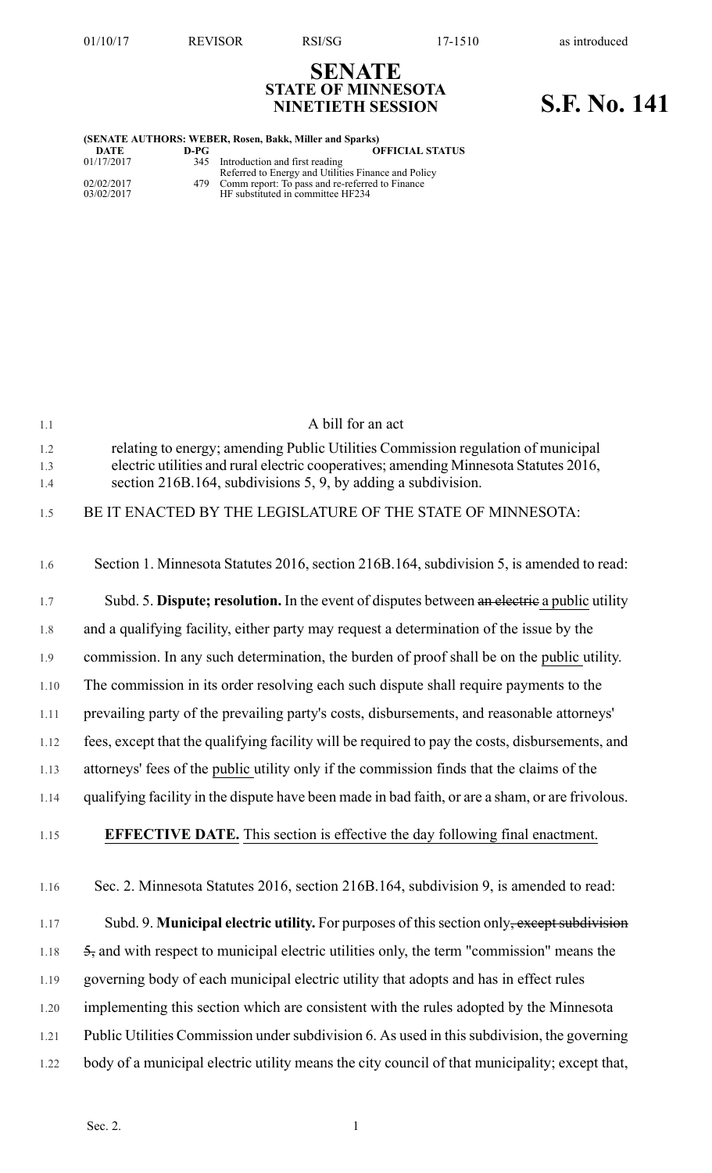**SENATE STATE OF MINNESOTA**

## **NINETIETH SESSION S.F. No. 141**

| (SENATE AUTHORS: WEBER, Rosen, Bakk, Miller and Sparks) |      |                                                                                           |
|---------------------------------------------------------|------|-------------------------------------------------------------------------------------------|
| DATE                                                    | D-PG | <b>OFFICIAL STATUS</b>                                                                    |
| 01/17/2017                                              |      | 345 Introduction and first reading<br>Referred to Energy and Utilities Finance and Policy |
| 02/02/2017<br>03/02/2017                                |      | 479 Comm report: To pass and re-referred to Finance<br>HF substituted in committee HF234  |

| 1.1        | A bill for an act                                                                                                                                                         |
|------------|---------------------------------------------------------------------------------------------------------------------------------------------------------------------------|
| 1.2<br>1.3 | relating to energy; amending Public Utilities Commission regulation of municipal<br>electric utilities and rural electric cooperatives; amending Minnesota Statutes 2016, |
| 1.4        | section 216B.164, subdivisions 5, 9, by adding a subdivision.                                                                                                             |
| 1.5        | BE IT ENACTED BY THE LEGISLATURE OF THE STATE OF MINNESOTA:                                                                                                               |
| 1.6        | Section 1. Minnesota Statutes 2016, section 216B.164, subdivision 5, is amended to read:                                                                                  |
| 1.7        | Subd. 5. Dispute; resolution. In the event of disputes between an electric a public utility                                                                               |
| 1.8        | and a qualifying facility, either party may request a determination of the issue by the                                                                                   |
| 1.9        | commission. In any such determination, the burden of proof shall be on the public utility.                                                                                |
| 1.10       | The commission in its order resolving each such dispute shall require payments to the                                                                                     |
| 1.11       | prevailing party of the prevailing party's costs, disbursements, and reasonable attorneys'                                                                                |
| 1.12       | fees, except that the qualifying facility will be required to pay the costs, disbursements, and                                                                           |
| 1.13       | attorneys' fees of the public utility only if the commission finds that the claims of the                                                                                 |
| 1.14       | qualifying facility in the dispute have been made in bad faith, or are a sham, or are frivolous.                                                                          |
| 1.15       | <b>EFFECTIVE DATE.</b> This section is effective the day following final enactment.                                                                                       |
| 1.16       | Sec. 2. Minnesota Statutes 2016, section 216B.164, subdivision 9, is amended to read:                                                                                     |
| 1.17       | Subd. 9. Municipal electric utility. For purposes of this section only, except subdivision                                                                                |
| 1.18       | $\frac{5}{2}$ , and with respect to municipal electric utilities only, the term "commission" means the                                                                    |
| 1.19       | governing body of each municipal electric utility that adopts and has in effect rules                                                                                     |
| 1.20       | implementing this section which are consistent with the rules adopted by the Minnesota                                                                                    |
| 1.21       | Public Utilities Commission under subdivision 6. As used in this subdivision, the governing                                                                               |
| 1.22       | body of a municipal electric utility means the city council of that municipality; except that,                                                                            |